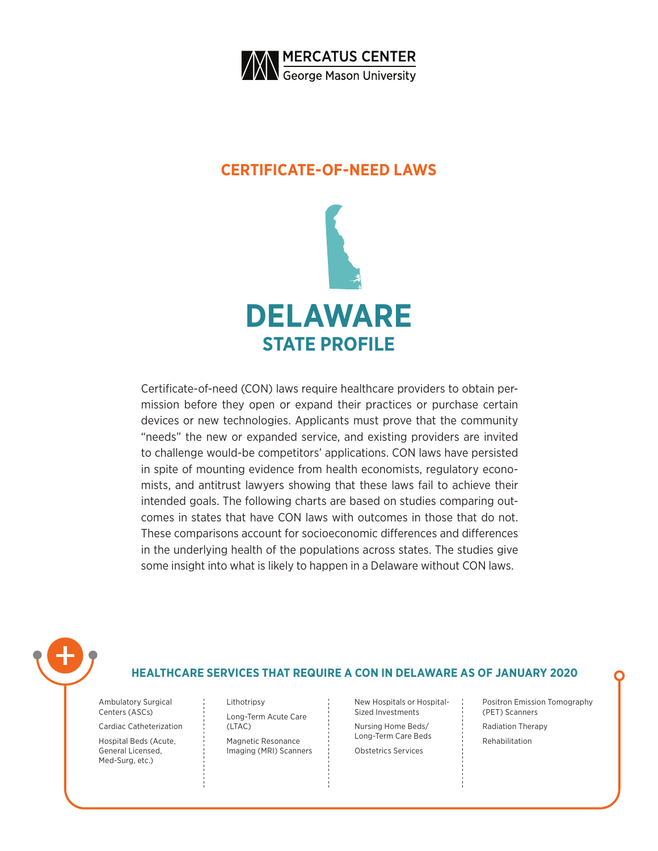

### **CERTIFICATE-OF-NEED LAWS**



Certificate-of-need (CON) laws require healthcare providers to obtain permission before they open or expand their practices or purchase certain devices or new technologies. Applicants must prove that the community "needs" the new or expanded service, and existing providers are invited to challenge would-be competitors' applications. CON laws have persisted in spite of mounting evidence from health economists, regulatory economists, and antitrust lawyers showing that these laws fail to achieve their intended goals. The following charts are based on studies comparing outcomes in states that have CON laws with outcomes in those that do not. These comparisons account for socioeconomic differences and differences in the underlying health of the populations across states. The studies give some insight into what is likely to happen in a Delaware without CON laws.



### **HEALTHCARE SERVICES THAT REQUIRE A CON IN DELAWARE AS OF JANUARY 2020**

Ambulatory Surgical Centers (ASCs)

Cardiac Catheterization

Hospital Beds (Acute, General Licensed, Med-Surg, etc.)

Lithotripsy Long-Term Acute Care (LTAC)

Magnetic Resonance Imaging (MRI) Scanners

New Hospitals or Hospital-Sized Investments Nursing Home Beds/ Long-Term Care Beds Obstetrics Services

Positron Emission Tomography (PET) Scanners Radiation Therapy Rehabilitation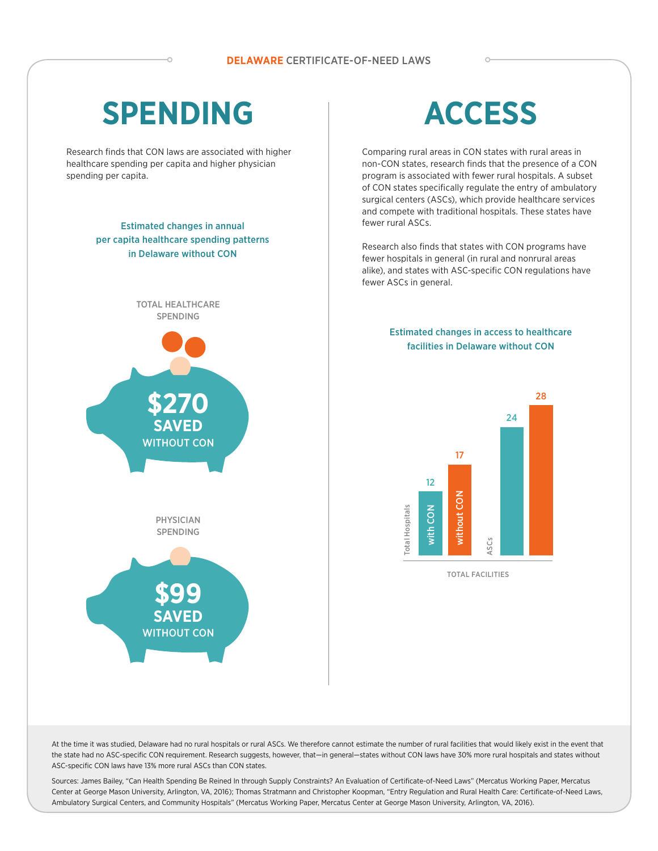# **SPENDING**

Research finds that CON laws are associated with higher healthcare spending per capita and higher physician spending per capita.

### Estimated changes in annual per capita healthcare spending patterns in Delaware without CON





Comparing rural areas in CON states with rural areas in non-CON states, research finds that the presence of a CON program is associated with fewer rural hospitals. A subset of CON states specifically regulate the entry of ambulatory surgical centers (ASCs), which provide healthcare services and compete with traditional hospitals. These states have fewer rural ASCs.

Research also finds that states with CON programs have fewer hospitals in general (in rural and nonrural areas alike), and states with ASC-specific CON regulations have fewer ASCs in general.

### Estimated changes in access to healthcare facilities in Delaware without CON



TOTAL FACILITIES



At the time it was studied, Delaware had no rural hospitals or rural ASCs. We therefore cannot estimate the number of rural facilities that would likely exist in the event that the state had no ASC-specific CON requirement. Research suggests, however, that—in general—states without CON laws have 30% more rural hospitals and states without ASC-specific CON laws have 13% more rural ASCs than CON states.

Sources: James Bailey, "Can Health Spending Be Reined In through Supply Constraints? An Evaluation of Certificate-of-Need Laws" (Mercatus Working Paper, Mercatus Center at George Mason University, Arlington, VA, 2016); Thomas Stratmann and Christopher Koopman, "Entry Regulation and Rural Health Care: Certificate-of-Need Laws, Ambulatory Surgical Centers, and Community Hospitals" (Mercatus Working Paper, Mercatus Center at George Mason University, Arlington, VA, 2016).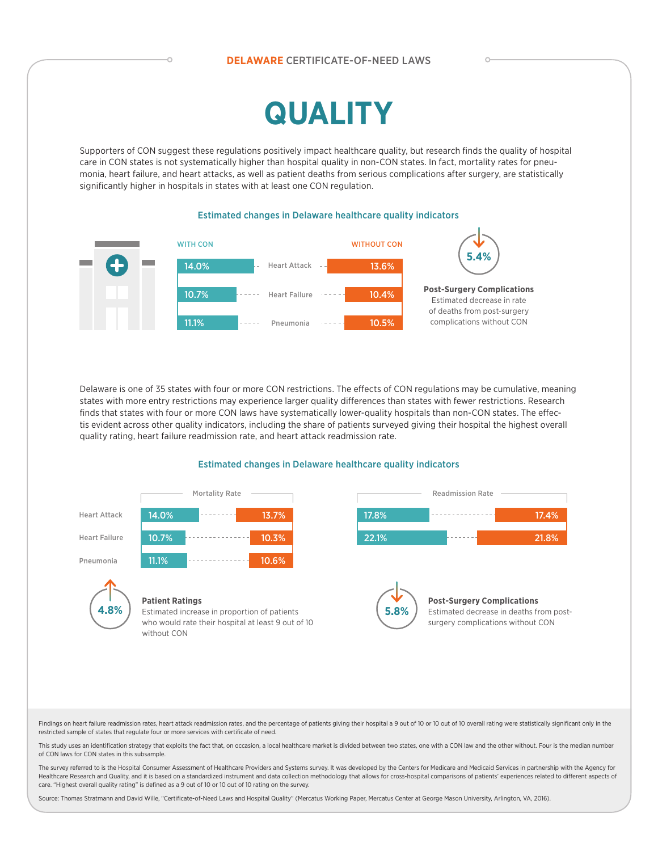### **DELAWARE** CERTIFICATE-OF-NEED LAWS

# **QUALITY**

Supporters of CON suggest these regulations positively impact healthcare quality, but research finds the quality of hospital care in CON states is not systematically higher than hospital quality in non-CON states. In fact, mortality rates for pneumonia, heart failure, and heart attacks, as well as patient deaths from serious complications after surgery, are statistically significantly higher in hospitals in states with at least one CON regulation.





Delaware is one of 35 states with four or more CON restrictions. The effects of CON regulations may be cumulative, meaning states with more entry restrictions may experience larger quality differences than states with fewer restrictions. Research finds that states with four or more CON laws have systematically lower-quality hospitals than non-CON states. The effectis evident across other quality indicators, including the share of patients surveyed giving their hospital the highest overall quality rating, heart failure readmission rate, and heart attack readmission rate.

#### Estimated changes in Delaware healthcare quality indicators



Findings on heart failure readmission rates, heart attack readmission rates, and the percentage of patients giving their hospital a 9 out of 10 or 10 out of 10 overall rating were statistically significant only in the restricted sample of states that regulate four or more services with certificate of need.

This study uses an identification strategy that exploits the fact that, on occasion, a local healthcare market is divided between two states, one with a CON law and the other without. Four is the median number of CON laws for CON states in this subsample.

The survey referred to is the Hospital Consumer Assessment of Healthcare Providers and Systems survey. It was developed by the Centers for Medicare and Medicaid Services in partnership with the Agency for Healthcare Research and Quality, and it is based on a standardized instrument and data collection methodology that allows for cross-hospital comparisons of patients' experiences related to different aspects of care. "Highest overall quality rating" is defined as a 9 out of 10 or 10 out of 10 rating on the survey.

Source: Thomas Stratmann and David Wille, "Certificate-of-Need Laws and Hospital Quality" (Mercatus Working Paper, Mercatus Center at George Mason University, Arlington, VA, 2016).